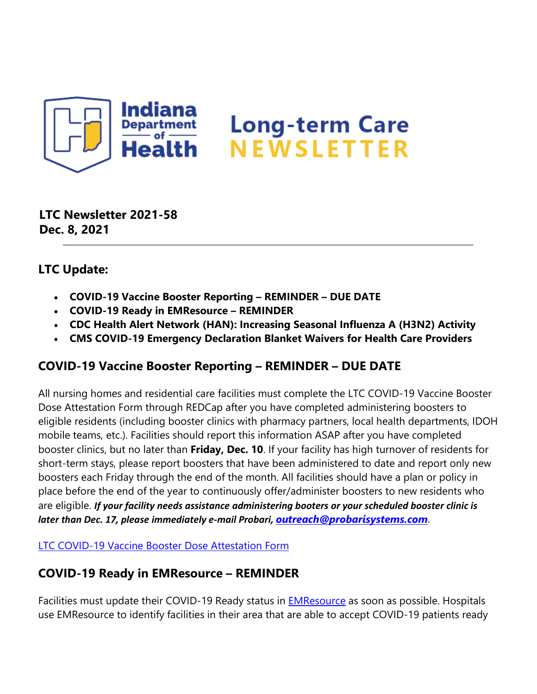

**LTC Newsletter 2021-58 Dec. 8, 2021**

### **LTC Update:**

- **COVID-19 Vaccine Booster Reporting REMINDER DUE DATE**
- **COVID-19 Ready in EMResource REMINDER**
- **CDC Health Alert Network (HAN): Increasing Seasonal Influenza A (H3N2) Activity**
- **CMS COVID-19 Emergency Declaration Blanket Waivers for Health Care Providers**

#### **COVID-19 Vaccine Booster Reporting – REMINDER – DUE DATE**

All nursing homes and residential care facilities must complete the LTC COVID-19 Vaccine Booster Dose Attestation Form through REDCap after you have completed administering boosters to eligible residents (including booster clinics with pharmacy partners, local health departments, IDOH mobile teams, etc.). Facilities should report this information ASAP after you have completed booster clinics, but no later than **Friday, Dec. 10**. If your facility has high turnover of residents for short-term stays, please report boosters that have been administered to date and report only new boosters each Friday through the end of the month. All facilities should have a plan or policy in place before the end of the year to continuously offer/administer boosters to new residents who are eligible. *If your facility needs assistance administering booters or your scheduled booster clinic is later than Dec. 17, please immediately e-mail Probari, [outreach@probarisystems.com](mailto:outreach@probarisystems.com)*.

[LTC COVID-19 Vaccine Booster Dose Attestation Form](https://lnks.gd/l/eyJhbGciOiJIUzI1NiJ9.eyJidWxsZXRpbl9saW5rX2lkIjoxMDAsInVyaSI6ImJwMjpjbGljayIsImJ1bGxldGluX2lkIjoiMjAyMTEyMDguNDk5ODcxNTEiLCJ1cmwiOiJodHRwczovL3JlZGNhcC5pc2RoLmluLmdvdi9zdXJ2ZXlzLz9zPVhNUlBIQUVZTDkifQ.nT8lH0eeFCTRGXOLDSoC9SxeSg-3WmrDp2L0b_0MLjU/s/1439130268/br/122594891552-l)

## **COVID-19 Ready in EMResource – REMINDER**

Facilities must update their COVID-19 Ready status in **EMResource** as soon as possible. Hospitals use EMResource to identify facilities in their area that are able to accept COVID-19 patients ready